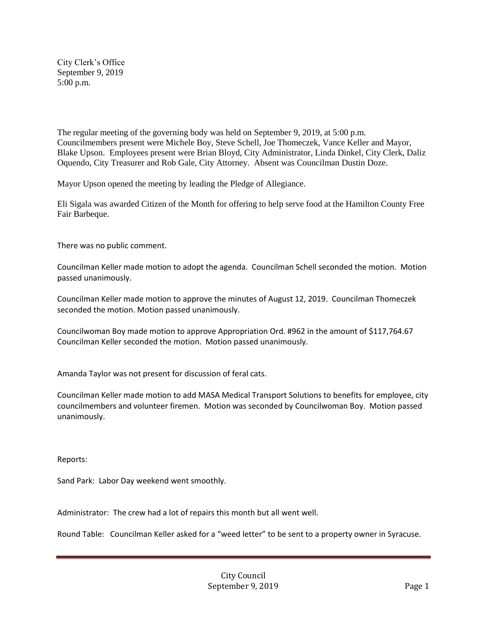City Clerk's Office September 9, 2019 5:00 p.m.

The regular meeting of the governing body was held on September 9, 2019, at 5:00 p.m. Councilmembers present were Michele Boy, Steve Schell, Joe Thomeczek, Vance Keller and Mayor, Blake Upson. Employees present were Brian Bloyd, City Administrator, Linda Dinkel, City Clerk, Daliz Oquendo, City Treasurer and Rob Gale, City Attorney. Absent was Councilman Dustin Doze.

Mayor Upson opened the meeting by leading the Pledge of Allegiance.

Eli Sigala was awarded Citizen of the Month for offering to help serve food at the Hamilton County Free Fair Barbeque.

There was no public comment.

Councilman Keller made motion to adopt the agenda. Councilman Schell seconded the motion. Motion passed unanimously.

Councilman Keller made motion to approve the minutes of August 12, 2019. Councilman Thomeczek seconded the motion. Motion passed unanimously.

Councilwoman Boy made motion to approve Appropriation Ord. #962 in the amount of \$117,764.67 Councilman Keller seconded the motion. Motion passed unanimously.

Amanda Taylor was not present for discussion of feral cats.

Councilman Keller made motion to add MASA Medical Transport Solutions to benefits for employee, city councilmembers and volunteer firemen. Motion was seconded by Councilwoman Boy. Motion passed unanimously.

Reports:

Sand Park: Labor Day weekend went smoothly.

Administrator: The crew had a lot of repairs this month but all went well.

Round Table: Councilman Keller asked for a "weed letter" to be sent to a property owner in Syracuse.